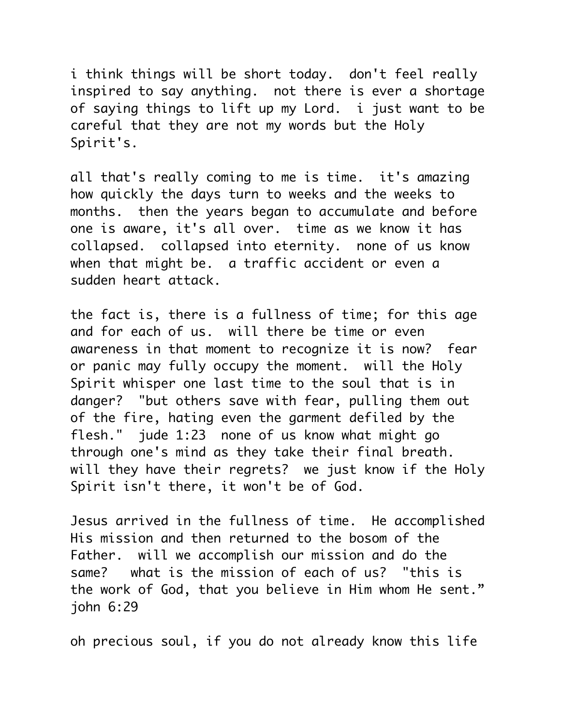i think things will be short today. don't feel really inspired to say anything. not there is ever a shortage of saying things to lift up my Lord. i just want to be careful that they are not my words but the Holy Spirit's.

all that's really coming to me is time. it's amazing how quickly the days turn to weeks and the weeks to months. then the years began to accumulate and before one is aware, it's all over. time as we know it has collapsed. collapsed into eternity. none of us know when that might be. a traffic accident or even a sudden heart attack.

the fact is, there is a fullness of time; for this age and for each of us. will there be time or even awareness in that moment to recognize it is now? fear or panic may fully occupy the moment. will the Holy Spirit whisper one last time to the soul that is in danger? "but others save with fear, pulling them out of the fire, hating even the garment defiled by the flesh." jude 1:23 none of us know what might go through one's mind as they take their final breath. will they have their regrets? we just know if the Holy Spirit isn't there, it won't be of God.

Jesus arrived in the fullness of time. He accomplished His mission and then returned to the bosom of the Father. will we accomplish our mission and do the same? what is the mission of each of us? "this is the work of God, that you believe in Him whom He sent." john 6:29

oh precious soul, if you do not already know this life